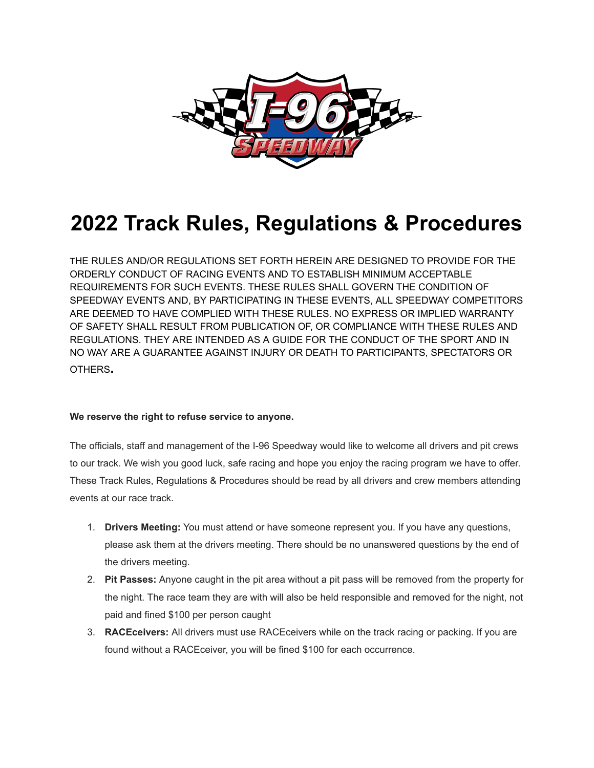

## **2022 Track Rules, Regulations & Procedures**

THE RULES AND/OR REGULATIONS SET FORTH HEREIN ARE DESIGNED TO PROVIDE FOR THE ORDERLY CONDUCT OF RACING EVENTS AND TO ESTABLISH MINIMUM ACCEPTABLE REQUIREMENTS FOR SUCH EVENTS. THESE RULES SHALL GOVERN THE CONDITION OF SPEEDWAY EVENTS AND, BY PARTICIPATING IN THESE EVENTS, ALL SPEEDWAY COMPETITORS ARE DEEMED TO HAVE COMPLIED WITH THESE RULES. NO EXPRESS OR IMPLIED WARRANTY OF SAFETY SHALL RESULT FROM PUBLICATION OF, OR COMPLIANCE WITH THESE RULES AND REGULATIONS. THEY ARE INTENDED AS A GUIDE FOR THE CONDUCT OF THE SPORT AND IN NO WAY ARE A GUARANTEE AGAINST INJURY OR DEATH TO PARTICIPANTS, SPECTATORS OR OTHERS**.**

## **We reserve the right to refuse service to anyone.**

The officials, staff and management of the I-96 Speedway would like to welcome all drivers and pit crews to our track. We wish you good luck, safe racing and hope you enjoy the racing program we have to offer. These Track Rules, Regulations & Procedures should be read by all drivers and crew members attending events at our race track.

- 1. **Drivers Meeting:** You must attend or have someone represent you. If you have any questions, please ask them at the drivers meeting. There should be no unanswered questions by the end of the drivers meeting.
- 2. **Pit Passes:** Anyone caught in the pit area without a pit pass will be removed from the property for the night. The race team they are with will also be held responsible and removed for the night, not paid and fined \$100 per person caught
- 3. **RACEceivers:** All drivers must use RACEceivers while on the track racing or packing. If you are found without a RACEceiver, you will be fined \$100 for each occurrence.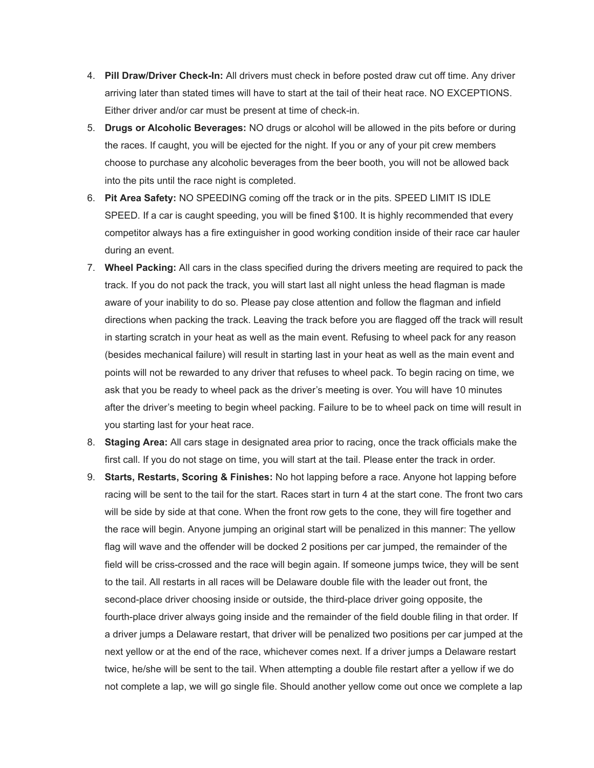- 4. **Pill Draw/Driver Check-In:** All drivers must check in before posted draw cut off time. Any driver arriving later than stated times will have to start at the tail of their heat race. NO EXCEPTIONS. Either driver and/or car must be present at time of check-in.
- 5. **Drugs or Alcoholic Beverages:** NO drugs or alcohol will be allowed in the pits before or during the races. If caught, you will be ejected for the night. If you or any of your pit crew members choose to purchase any alcoholic beverages from the beer booth, you will not be allowed back into the pits until the race night is completed.
- 6. **Pit Area Safety:** NO SPEEDING coming off the track or in the pits. SPEED LIMIT IS IDLE SPEED. If a car is caught speeding, you will be fined \$100. It is highly recommended that every competitor always has a fire extinguisher in good working condition inside of their race car hauler during an event.
- 7. **Wheel Packing:** All cars in the class specified during the drivers meeting are required to pack the track. If you do not pack the track, you will start last all night unless the head flagman is made aware of your inability to do so. Please pay close attention and follow the flagman and infield directions when packing the track. Leaving the track before you are flagged off the track will result in starting scratch in your heat as well as the main event. Refusing to wheel pack for any reason (besides mechanical failure) will result in starting last in your heat as well as the main event and points will not be rewarded to any driver that refuses to wheel pack. To begin racing on time, we ask that you be ready to wheel pack as the driver's meeting is over. You will have 10 minutes after the driver's meeting to begin wheel packing. Failure to be to wheel pack on time will result in you starting last for your heat race.
- 8. **Staging Area:** All cars stage in designated area prior to racing, once the track officials make the first call. If you do not stage on time, you will start at the tail. Please enter the track in order.
- 9. **Starts, Restarts, Scoring & Finishes:** No hot lapping before a race. Anyone hot lapping before racing will be sent to the tail for the start. Races start in turn 4 at the start cone. The front two cars will be side by side at that cone. When the front row gets to the cone, they will fire together and the race will begin. Anyone jumping an original start will be penalized in this manner: The yellow flag will wave and the offender will be docked 2 positions per car jumped, the remainder of the field will be criss-crossed and the race will begin again. If someone jumps twice, they will be sent to the tail. All restarts in all races will be Delaware double file with the leader out front, the second-place driver choosing inside or outside, the third-place driver going opposite, the fourth-place driver always going inside and the remainder of the field double filing in that order. If a driver jumps a Delaware restart, that driver will be penalized two positions per car jumped at the next yellow or at the end of the race, whichever comes next. If a driver jumps a Delaware restart twice, he/she will be sent to the tail. When attempting a double file restart after a yellow if we do not complete a lap, we will go single file. Should another yellow come out once we complete a lap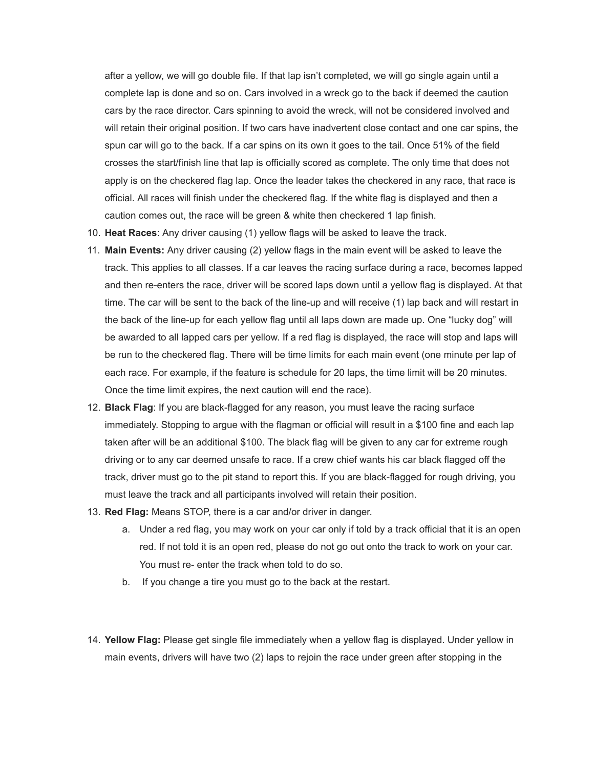after a yellow, we will go double file. If that lap isn't completed, we will go single again until a complete lap is done and so on. Cars involved in a wreck go to the back if deemed the caution cars by the race director. Cars spinning to avoid the wreck, will not be considered involved and will retain their original position. If two cars have inadvertent close contact and one car spins, the spun car will go to the back. If a car spins on its own it goes to the tail. Once 51% of the field crosses the start/finish line that lap is officially scored as complete. The only time that does not apply is on the checkered flag lap. Once the leader takes the checkered in any race, that race is official. All races will finish under the checkered flag. If the white flag is displayed and then a caution comes out, the race will be green & white then checkered 1 lap finish.

- 10. **Heat Races**: Any driver causing (1) yellow flags will be asked to leave the track.
- 11. **Main Events:** Any driver causing (2) yellow flags in the main event will be asked to leave the track. This applies to all classes. If a car leaves the racing surface during a race, becomes lapped and then re-enters the race, driver will be scored laps down until a yellow flag is displayed. At that time. The car will be sent to the back of the line-up and will receive (1) lap back and will restart in the back of the line-up for each yellow flag until all laps down are made up. One "lucky dog" will be awarded to all lapped cars per yellow. If a red flag is displayed, the race will stop and laps will be run to the checkered flag. There will be time limits for each main event (one minute per lap of each race. For example, if the feature is schedule for 20 laps, the time limit will be 20 minutes. Once the time limit expires, the next caution will end the race).
- 12. **Black Flag**: If you are black-flagged for any reason, you must leave the racing surface immediately. Stopping to argue with the flagman or official will result in a \$100 fine and each lap taken after will be an additional \$100. The black flag will be given to any car for extreme rough driving or to any car deemed unsafe to race. If a crew chief wants his car black flagged off the track, driver must go to the pit stand to report this. If you are black-flagged for rough driving, you must leave the track and all participants involved will retain their position.
- 13. **Red Flag:** Means STOP, there is a car and/or driver in danger.
	- a. Under a red flag, you may work on your car only if told by a track official that it is an open red. If not told it is an open red, please do not go out onto the track to work on your car. You must re- enter the track when told to do so.
	- b. If you change a tire you must go to the back at the restart.
- 14. **Yellow Flag:** Please get single file immediately when a yellow flag is displayed. Under yellow in main events, drivers will have two (2) laps to rejoin the race under green after stopping in the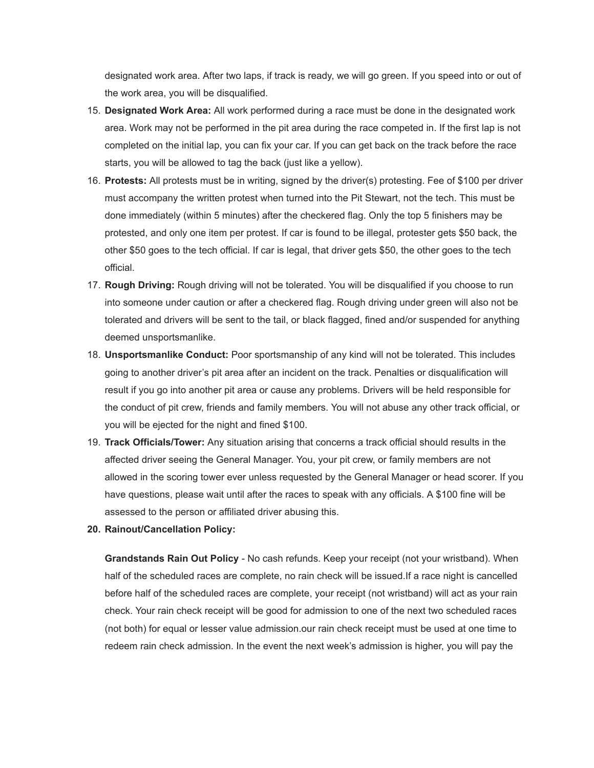designated work area. After two laps, if track is ready, we will go green. If you speed into or out of the work area, you will be disqualified.

- 15. **Designated Work Area:** All work performed during a race must be done in the designated work area. Work may not be performed in the pit area during the race competed in. If the first lap is not completed on the initial lap, you can fix your car. If you can get back on the track before the race starts, you will be allowed to tag the back (just like a yellow).
- 16. **Protests:** All protests must be in writing, signed by the driver(s) protesting. Fee of \$100 per driver must accompany the written protest when turned into the Pit Stewart, not the tech. This must be done immediately (within 5 minutes) after the checkered flag. Only the top 5 finishers may be protested, and only one item per protest. If car is found to be illegal, protester gets \$50 back, the other \$50 goes to the tech official. If car is legal, that driver gets \$50, the other goes to the tech official.
- 17. **Rough Driving:** Rough driving will not be tolerated. You will be disqualified if you choose to run into someone under caution or after a checkered flag. Rough driving under green will also not be tolerated and drivers will be sent to the tail, or black flagged, fined and/or suspended for anything deemed unsportsmanlike.
- 18. **Unsportsmanlike Conduct:** Poor sportsmanship of any kind will not be tolerated. This includes going to another driver's pit area after an incident on the track. Penalties or disqualification will result if you go into another pit area or cause any problems. Drivers will be held responsible for the conduct of pit crew, friends and family members. You will not abuse any other track official, or you will be ejected for the night and fined \$100.
- 19. **Track Officials/Tower:** Any situation arising that concerns a track official should results in the affected driver seeing the General Manager. You, your pit crew, or family members are not allowed in the scoring tower ever unless requested by the General Manager or head scorer. If you have questions, please wait until after the races to speak with any officials. A \$100 fine will be assessed to the person or affiliated driver abusing this.
- **20. Rainout/Cancellation Policy:**

**Grandstands Rain Out Policy** - No cash refunds. Keep your receipt (not your wristband). When half of the scheduled races are complete, no rain check will be issued.If a race night is cancelled before half of the scheduled races are complete, your receipt (not wristband) will act as your rain check. Your rain check receipt will be good for admission to one of the next two scheduled races (not both) for equal or lesser value admission.our rain check receipt must be used at one time to redeem rain check admission. In the event the next week's admission is higher, you will pay the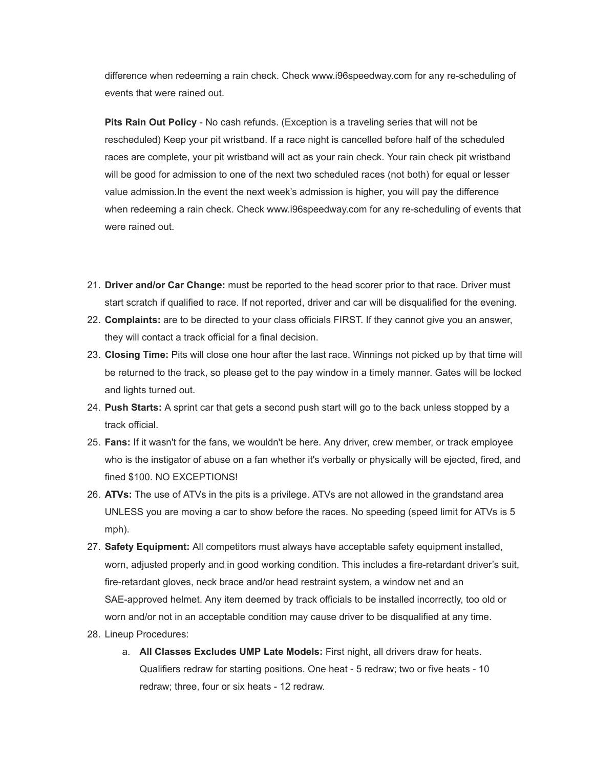difference when redeeming a rain check. Check www.i96speedway.com for any re-scheduling of events that were rained out.

**Pits Rain Out Policy** - No cash refunds. (Exception is a traveling series that will not be rescheduled) Keep your pit wristband. If a race night is cancelled before half of the scheduled races are complete, your pit wristband will act as your rain check. Your rain check pit wristband will be good for admission to one of the next two scheduled races (not both) for equal or lesser value admission.In the event the next week's admission is higher, you will pay the difference when redeeming a rain check. Check www.i96speedway.com for any re-scheduling of events that were rained out.

- 21. **Driver and/or Car Change:** must be reported to the head scorer prior to that race. Driver must start scratch if qualified to race. If not reported, driver and car will be disqualified for the evening.
- 22. **Complaints:** are to be directed to your class officials FIRST. If they cannot give you an answer, they will contact a track official for a final decision.
- 23. **Closing Time:** Pits will close one hour after the last race. Winnings not picked up by that time will be returned to the track, so please get to the pay window in a timely manner. Gates will be locked and lights turned out.
- 24. **Push Starts:** A sprint car that gets a second push start will go to the back unless stopped by a track official.
- 25. **Fans:** If it wasn't for the fans, we wouldn't be here. Any driver, crew member, or track employee who is the instigator of abuse on a fan whether it's verbally or physically will be ejected, fired, and fined \$100. NO EXCEPTIONS!
- 26. **ATVs:** The use of ATVs in the pits is a privilege. ATVs are not allowed in the grandstand area UNLESS you are moving a car to show before the races. No speeding (speed limit for ATVs is 5 mph).
- 27. **Safety Equipment:** All competitors must always have acceptable safety equipment installed, worn, adjusted properly and in good working condition. This includes a fire-retardant driver's suit, fire-retardant gloves, neck brace and/or head restraint system, a window net and an SAE-approved helmet. Any item deemed by track officials to be installed incorrectly, too old or worn and/or not in an acceptable condition may cause driver to be disqualified at any time.
- 28. Lineup Procedures:
	- a. **All Classes Excludes UMP Late Models:** First night, all drivers draw for heats. Qualifiers redraw for starting positions. One heat - 5 redraw; two or five heats - 10 redraw; three, four or six heats - 12 redraw.